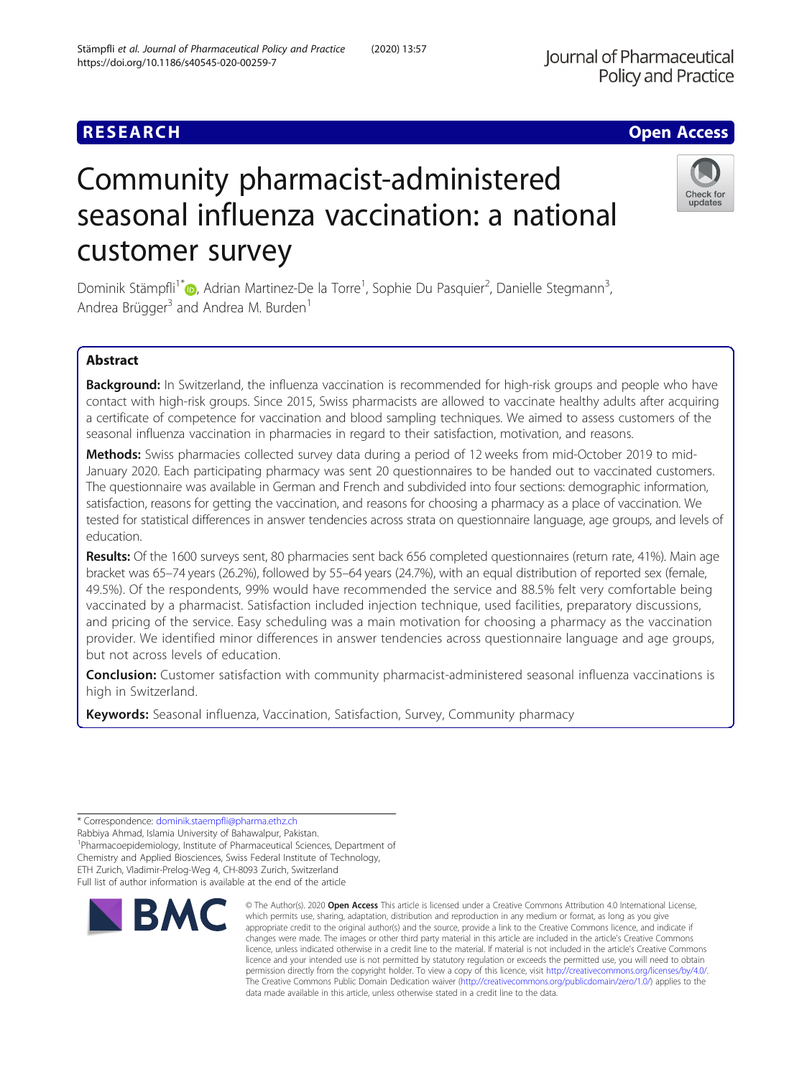# Community pharmacist-administered seasonal influenza vaccination: a national customer survey

Dominik Stämpfli<sup>1[\\*](http://orcid.org/0000-0001-5293-134X)</sup>®, Adrian Martinez-De la Torre<sup>1</sup>, Sophie Du Pasquier<sup>2</sup>, Danielle Stegmann<sup>3</sup> , Andrea Brügger<sup>3</sup> and Andrea M. Burden<sup>1</sup>

# Abstract

Background: In Switzerland, the influenza vaccination is recommended for high-risk groups and people who have contact with high-risk groups. Since 2015, Swiss pharmacists are allowed to vaccinate healthy adults after acquiring a certificate of competence for vaccination and blood sampling techniques. We aimed to assess customers of the seasonal influenza vaccination in pharmacies in regard to their satisfaction, motivation, and reasons.

Methods: Swiss pharmacies collected survey data during a period of 12 weeks from mid-October 2019 to mid-January 2020. Each participating pharmacy was sent 20 questionnaires to be handed out to vaccinated customers. The questionnaire was available in German and French and subdivided into four sections: demographic information, satisfaction, reasons for getting the vaccination, and reasons for choosing a pharmacy as a place of vaccination. We tested for statistical differences in answer tendencies across strata on questionnaire language, age groups, and levels of education.

Results: Of the 1600 surveys sent, 80 pharmacies sent back 656 completed questionnaires (return rate, 41%). Main age bracket was 65–74 years (26.2%), followed by 55–64 years (24.7%), with an equal distribution of reported sex (female, 49.5%). Of the respondents, 99% would have recommended the service and 88.5% felt very comfortable being vaccinated by a pharmacist. Satisfaction included injection technique, used facilities, preparatory discussions, and pricing of the service. Easy scheduling was a main motivation for choosing a pharmacy as the vaccination provider. We identified minor differences in answer tendencies across questionnaire language and age groups, but not across levels of education.

Conclusion: Customer satisfaction with community pharmacist-administered seasonal influenza vaccinations is high in Switzerland.

Keywords: Seasonal influenza, Vaccination, Satisfaction, Survey, Community pharmacy

Rabbiya Ahmad, Islamia University of Bahawalpur, Pakistan.

<sup>1</sup>Pharmacoepidemiology, Institute of Pharmaceutical Sciences, Department of Chemistry and Applied Biosciences, Swiss Federal Institute of Technology, ETH Zurich, Vladimir-Prelog-Weg 4, CH-8093 Zurich, Switzerland Full list of author information is available at the end of the article

appropriate credit to the original author(s) and the source, provide a link to the Creative Commons licence, and indicate if changes were made. The images or other third party material in this article are included in the article's Creative Commons licence, unless indicated otherwise in a credit line to the material. If material is not included in the article's Creative Commons licence and your intended use is not permitted by statutory regulation or exceeds the permitted use, you will need to obtain permission directly from the copyright holder. To view a copy of this licence, visit [http://creativecommons.org/licenses/by/4.0/.](http://creativecommons.org/licenses/by/4.0/) The Creative Commons Public Domain Dedication waiver [\(http://creativecommons.org/publicdomain/zero/1.0/](http://creativecommons.org/publicdomain/zero/1.0/)) applies to the data made available in this article, unless otherwise stated in a credit line to the data.

© The Author(s), 2020 **Open Access** This article is licensed under a Creative Commons Attribution 4.0 International License, which permits use, sharing, adaptation, distribution and reproduction in any medium or format, as long as you give





**Policy and Practice** 

**Iournal of Pharmaceutical** 

<sup>\*</sup> Correspondence: [dominik.staempfli@pharma.ethz.ch](mailto:dominik.staempfli@pharma.ethz.ch)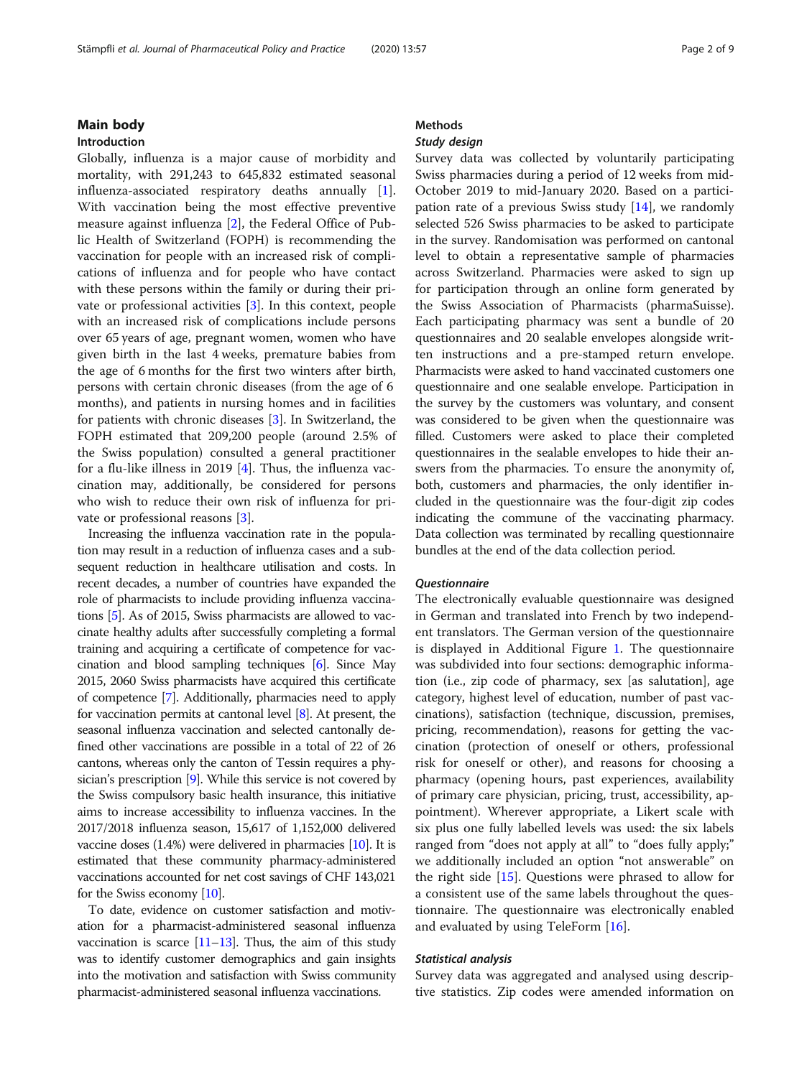#### Main body

#### Introduction

Globally, influenza is a major cause of morbidity and mortality, with 291,243 to 645,832 estimated seasonal influenza-associated respiratory deaths annually [\[1](#page-7-0)]. With vaccination being the most effective preventive measure against influenza [\[2](#page-7-0)], the Federal Office of Public Health of Switzerland (FOPH) is recommending the vaccination for people with an increased risk of complications of influenza and for people who have contact with these persons within the family or during their private or professional activities [\[3](#page-7-0)]. In this context, people with an increased risk of complications include persons over 65 years of age, pregnant women, women who have given birth in the last 4 weeks, premature babies from the age of 6 months for the first two winters after birth, persons with certain chronic diseases (from the age of 6 months), and patients in nursing homes and in facilities for patients with chronic diseases [[3\]](#page-7-0). In Switzerland, the FOPH estimated that 209,200 people (around 2.5% of the Swiss population) consulted a general practitioner for a flu-like illness in 2019 [\[4\]](#page-7-0). Thus, the influenza vaccination may, additionally, be considered for persons who wish to reduce their own risk of influenza for pri-vate or professional reasons [\[3](#page-7-0)].

Increasing the influenza vaccination rate in the population may result in a reduction of influenza cases and a subsequent reduction in healthcare utilisation and costs. In recent decades, a number of countries have expanded the role of pharmacists to include providing influenza vaccinations [[5](#page-7-0)]. As of 2015, Swiss pharmacists are allowed to vaccinate healthy adults after successfully completing a formal training and acquiring a certificate of competence for vaccination and blood sampling techniques [\[6\]](#page-7-0). Since May 2015, 2060 Swiss pharmacists have acquired this certificate of competence [\[7](#page-7-0)]. Additionally, pharmacies need to apply for vaccination permits at cantonal level [[8](#page-7-0)]. At present, the seasonal influenza vaccination and selected cantonally defined other vaccinations are possible in a total of 22 of 26 cantons, whereas only the canton of Tessin requires a physician's prescription [\[9\]](#page-7-0). While this service is not covered by the Swiss compulsory basic health insurance, this initiative aims to increase accessibility to influenza vaccines. In the 2017/2018 influenza season, 15,617 of 1,152,000 delivered vaccine doses (1.4%) were delivered in pharmacies [[10\]](#page-7-0). It is estimated that these community pharmacy-administered vaccinations accounted for net cost savings of CHF 143,021 for the Swiss economy [\[10\]](#page-7-0).

To date, evidence on customer satisfaction and motivation for a pharmacist-administered seasonal influenza vaccination is scarce  $[11–13]$  $[11–13]$  $[11–13]$  $[11–13]$  $[11–13]$ . Thus, the aim of this study was to identify customer demographics and gain insights into the motivation and satisfaction with Swiss community pharmacist-administered seasonal influenza vaccinations.

# Methods

# Study design

Survey data was collected by voluntarily participating Swiss pharmacies during a period of 12 weeks from mid-October 2019 to mid-January 2020. Based on a participation rate of a previous Swiss study  $[14]$  $[14]$ , we randomly selected 526 Swiss pharmacies to be asked to participate in the survey. Randomisation was performed on cantonal level to obtain a representative sample of pharmacies across Switzerland. Pharmacies were asked to sign up for participation through an online form generated by the Swiss Association of Pharmacists (pharmaSuisse). Each participating pharmacy was sent a bundle of 20 questionnaires and 20 sealable envelopes alongside written instructions and a pre-stamped return envelope. Pharmacists were asked to hand vaccinated customers one questionnaire and one sealable envelope. Participation in the survey by the customers was voluntary, and consent was considered to be given when the questionnaire was filled. Customers were asked to place their completed questionnaires in the sealable envelopes to hide their answers from the pharmacies. To ensure the anonymity of, both, customers and pharmacies, the only identifier included in the questionnaire was the four-digit zip codes indicating the commune of the vaccinating pharmacy. Data collection was terminated by recalling questionnaire bundles at the end of the data collection period.

#### **Ouestionnaire**

The electronically evaluable questionnaire was designed in German and translated into French by two independent translators. The German version of the questionnaire is displayed in Additional Figure [1.](#page-7-0) The questionnaire was subdivided into four sections: demographic information (i.e., zip code of pharmacy, sex [as salutation], age category, highest level of education, number of past vaccinations), satisfaction (technique, discussion, premises, pricing, recommendation), reasons for getting the vaccination (protection of oneself or others, professional risk for oneself or other), and reasons for choosing a pharmacy (opening hours, past experiences, availability of primary care physician, pricing, trust, accessibility, appointment). Wherever appropriate, a Likert scale with six plus one fully labelled levels was used: the six labels ranged from "does not apply at all" to "does fully apply;" we additionally included an option "not answerable" on the right side [\[15](#page-7-0)]. Questions were phrased to allow for a consistent use of the same labels throughout the questionnaire. The questionnaire was electronically enabled and evaluated by using TeleForm [\[16](#page-7-0)].

#### Statistical analysis

Survey data was aggregated and analysed using descriptive statistics. Zip codes were amended information on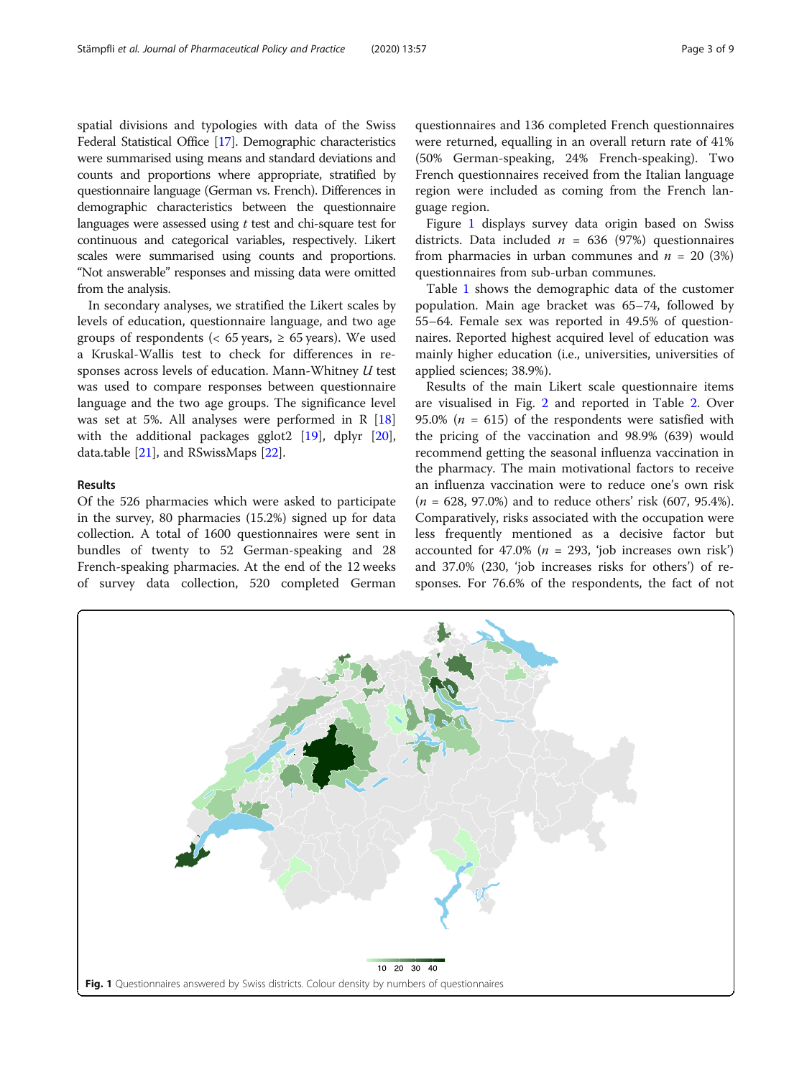spatial divisions and typologies with data of the Swiss Federal Statistical Office [\[17\]](#page-7-0). Demographic characteristics were summarised using means and standard deviations and counts and proportions where appropriate, stratified by questionnaire language (German vs. French). Differences in demographic characteristics between the questionnaire languages were assessed using  $t$  test and chi-square test for continuous and categorical variables, respectively. Likert scales were summarised using counts and proportions. "Not answerable" responses and missing data were omitted from the analysis.

In secondary analyses, we stratified the Likert scales by levels of education, questionnaire language, and two age groups of respondents ( $<$  65 years,  $\ge$  65 years). We used a Kruskal-Wallis test to check for differences in responses across levels of education. Mann-Whitney U test was used to compare responses between questionnaire language and the two age groups. The significance level was set at 5%. All analyses were performed in R [[18](#page-7-0)] with the additional packages gglot2 [[19](#page-7-0)], dplyr [\[20](#page-7-0)], data.table [[21\]](#page-8-0), and RSwissMaps [\[22](#page-8-0)].

#### Results

Of the 526 pharmacies which were asked to participate in the survey, 80 pharmacies (15.2%) signed up for data collection. A total of 1600 questionnaires were sent in bundles of twenty to 52 German-speaking and 28 French-speaking pharmacies. At the end of the 12 weeks of survey data collection, 520 completed German questionnaires and 136 completed French questionnaires were returned, equalling in an overall return rate of 41% (50% German-speaking, 24% French-speaking). Two French questionnaires received from the Italian language region were included as coming from the French language region.

Figure 1 displays survey data origin based on Swiss districts. Data included  $n = 636$  (97%) questionnaires from pharmacies in urban communes and  $n = 20$  (3%) questionnaires from sub-urban communes.

Table [1](#page-3-0) shows the demographic data of the customer population. Main age bracket was 65–74, followed by 55–64. Female sex was reported in 49.5% of questionnaires. Reported highest acquired level of education was mainly higher education (i.e., universities, universities of applied sciences; 38.9%).

Results of the main Likert scale questionnaire items are visualised in Fig. [2](#page-4-0) and reported in Table [2](#page-5-0). Over 95.0% ( $n = 615$ ) of the respondents were satisfied with the pricing of the vaccination and 98.9% (639) would recommend getting the seasonal influenza vaccination in the pharmacy. The main motivational factors to receive an influenza vaccination were to reduce one's own risk  $(n = 628, 97.0\%)$  and to reduce others' risk (607, 95.4%). Comparatively, risks associated with the occupation were less frequently mentioned as a decisive factor but accounted for 47.0% ( $n = 293$ , 'job increases own risk') and 37.0% (230, 'job increases risks for others') of responses. For 76.6% of the respondents, the fact of not

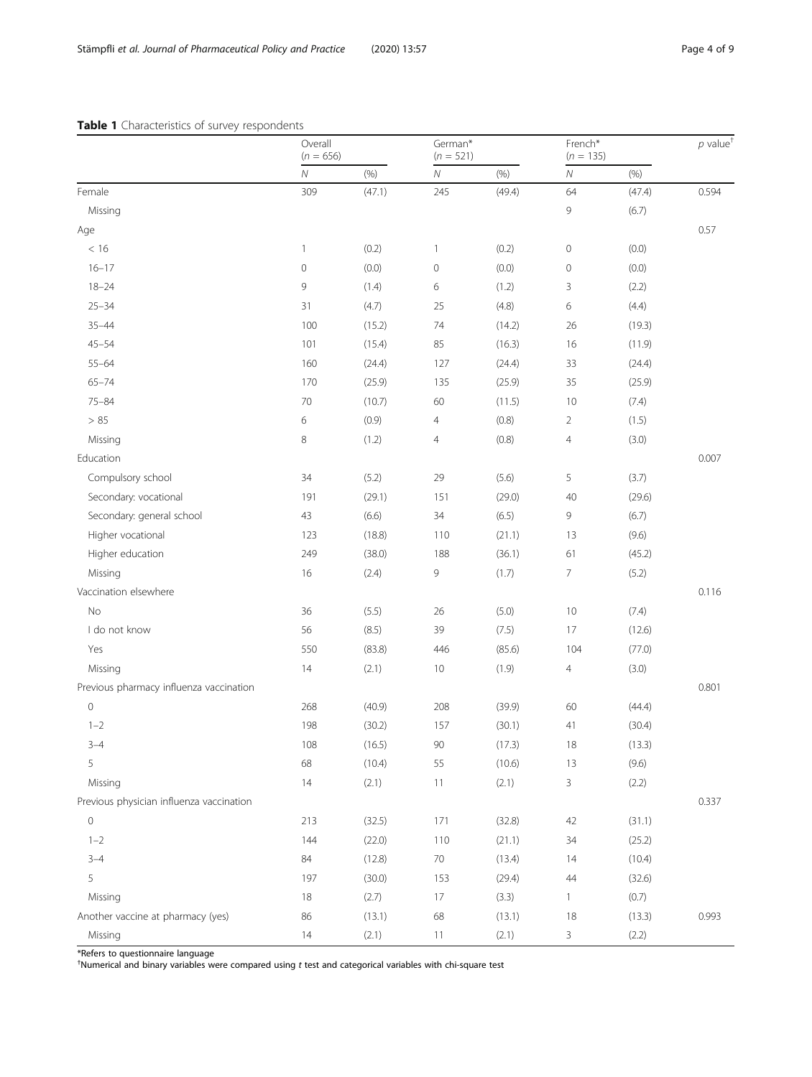|                                          | Overall<br>$(n = 656)$ |        | German*<br>$(n = 521)$ |        | French*<br>$(n = 135)$ | $p$ value <sup>†</sup> |       |
|------------------------------------------|------------------------|--------|------------------------|--------|------------------------|------------------------|-------|
|                                          | Ν                      | (% )   | ${\cal N}$             | (% )   | ${\cal N}$             | (% )                   |       |
| Female                                   | 309                    | (47.1) | 245                    | (49.4) | 64                     | (47.4)                 | 0.594 |
| Missing                                  |                        |        |                        |        | 9                      | (6.7)                  |       |
| Age                                      |                        |        |                        |        |                        |                        | 0.57  |
| < 16                                     | $\mathbf{1}$           | (0.2)  | 1                      | (0.2)  | $\mathbf 0$            | (0.0)                  |       |
| $16 - 17$                                | $\mathsf{O}\xspace$    | (0.0)  | $\mathbf 0$            | (0.0)  | $\mathbf 0$            | (0.0)                  |       |
| $18 - 24$                                | 9                      | (1.4)  | 6                      | (1.2)  | 3                      | (2.2)                  |       |
| $25 - 34$                                | 31                     | (4.7)  | 25                     | (4.8)  | 6                      | (4.4)                  |       |
| $35 - 44$                                | 100                    | (15.2) | 74                     | (14.2) | 26                     | (19.3)                 |       |
| $45 - 54$                                | 101                    | (15.4) | 85                     | (16.3) | 16                     | (11.9)                 |       |
| $55 - 64$                                | 160                    | (24.4) | 127                    | (24.4) | 33                     | (24.4)                 |       |
| $65 - 74$                                | 170                    | (25.9) | 135                    | (25.9) | 35                     | (25.9)                 |       |
| $75 - 84$                                | 70                     | (10.7) | 60                     | (11.5) | 10                     | (7.4)                  |       |
| $>85$                                    | 6                      | (0.9)  | $\overline{4}$         | (0.8)  | $\overline{2}$         | (1.5)                  |       |
| Missing                                  | $\,8\,$                | (1.2)  | $\overline{4}$         | (0.8)  | $\overline{4}$         | (3.0)                  |       |
| Education                                |                        |        |                        |        |                        |                        | 0.007 |
| Compulsory school                        | 34                     | (5.2)  | 29                     | (5.6)  | 5                      | (3.7)                  |       |
| Secondary: vocational                    | 191                    | (29.1) | 151                    | (29.0) | 40                     | (29.6)                 |       |
| Secondary: general school                | 43                     | (6.6)  | 34                     | (6.5)  | 9                      | (6.7)                  |       |
| Higher vocational                        | 123                    | (18.8) | 110                    | (21.1) | 13                     | (9.6)                  |       |
| Higher education                         | 249                    | (38.0) | 188                    | (36.1) | 61                     | (45.2)                 |       |
| Missing                                  | 16                     | (2.4)  | 9                      | (1.7)  | 7                      | (5.2)                  |       |
| Vaccination elsewhere                    |                        |        |                        |        |                        |                        | 0.116 |
| <b>No</b>                                | 36                     | (5.5)  | 26                     | (5.0)  | 10                     | (7.4)                  |       |
| I do not know                            | 56                     | (8.5)  | 39                     | (7.5)  | 17                     | (12.6)                 |       |
| Yes                                      | 550                    | (83.8) | 446                    | (85.6) | 104                    | (77.0)                 |       |
| Missing                                  | 14                     | (2.1)  | $10$                   | (1.9)  | $\overline{4}$         | (3.0)                  |       |
| Previous pharmacy influenza vaccination  |                        |        |                        |        |                        |                        | 0.801 |
| $\mathbf 0$                              | 268                    | (40.9) | 208                    | (39.9) | 60                     | (44.4)                 |       |
| $1 - 2$                                  | 198                    | (30.2) | 157                    | (30.1) | 41                     | (30.4)                 |       |
| 3–4                                      | 108                    | (16.5) | 90                     | (17.3) | 18                     | (13.3)                 |       |
| 5                                        | 68                     | (10.4) | 55                     | (10.6) | 13                     | (9.6)                  |       |
| Missing                                  | 14                     | (2.1)  | 11                     | (2.1)  | $\mathsf 3$            | (2.2)                  |       |
| Previous physician influenza vaccination |                        |        |                        |        |                        |                        | 0.337 |
| $\mathsf{O}\xspace$                      | 213                    | (32.5) | 171                    | (32.8) | 42                     | (31.1)                 |       |
| $1 - 2$                                  | 144                    | (22.0) | 110                    | (21.1) | 34                     | (25.2)                 |       |
| $3 - 4$                                  | 84                     | (12.8) | $70\,$                 | (13.4) | 14                     | (10.4)                 |       |
| 5                                        | 197                    | (30.0) | 153                    | (29.4) | 44                     | (32.6)                 |       |
| Missing                                  | 18                     | (2.7)  | $17\,$                 | (3.3)  | $\mathbf{1}$           | (0.7)                  |       |
| Another vaccine at pharmacy (yes)        | 86                     | (13.1) | 68                     | (13.1) | 18                     | (13.3)                 | 0.993 |
| Missing                                  | 14                     | (2.1)  | 11                     | (2.1)  | $\mathsf{3}$           | (2.2)                  |       |

#### <span id="page-3-0"></span>Table 1 Characteristics of survey respondents

\*Refers to questionnaire language

† Numerical and binary variables were compared using t test and categorical variables with chi-square test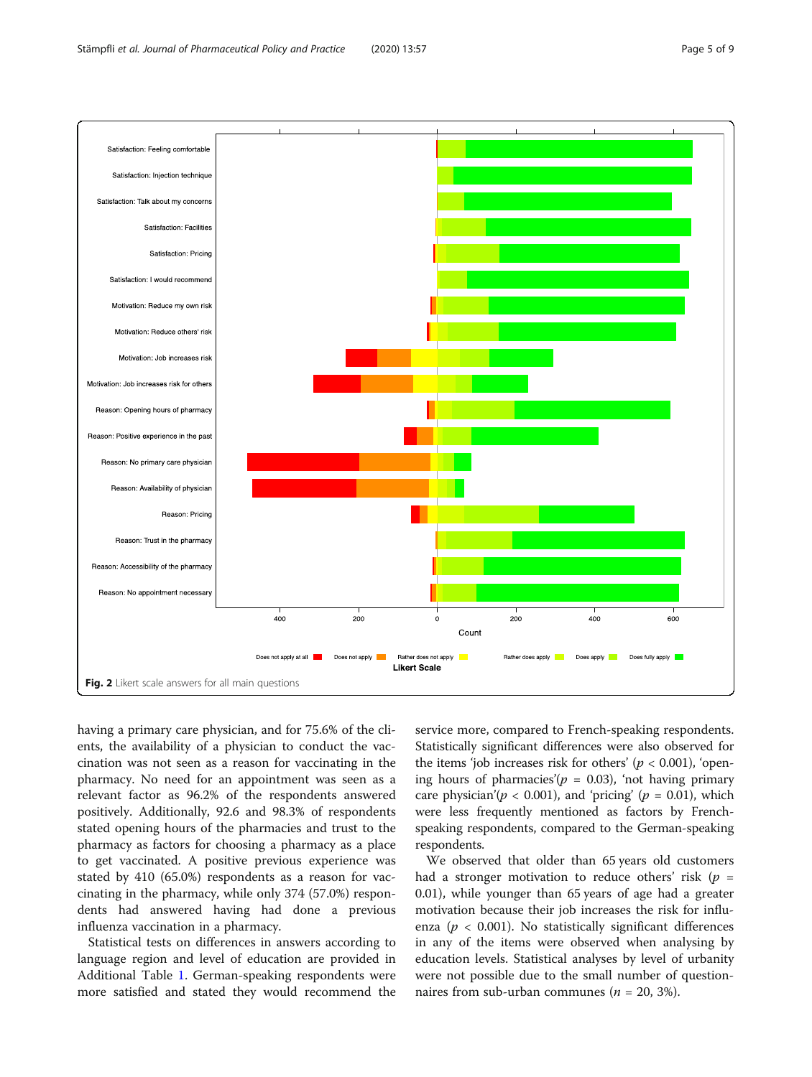<span id="page-4-0"></span>

having a primary care physician, and for 75.6% of the clients, the availability of a physician to conduct the vaccination was not seen as a reason for vaccinating in the pharmacy. No need for an appointment was seen as a relevant factor as 96.2% of the respondents answered positively. Additionally, 92.6 and 98.3% of respondents stated opening hours of the pharmacies and trust to the pharmacy as factors for choosing a pharmacy as a place to get vaccinated. A positive previous experience was stated by 410 (65.0%) respondents as a reason for vaccinating in the pharmacy, while only 374 (57.0%) respondents had answered having had done a previous influenza vaccination in a pharmacy.

Statistical tests on differences in answers according to language region and level of education are provided in Additional Table [1.](#page-7-0) German-speaking respondents were more satisfied and stated they would recommend the service more, compared to French-speaking respondents. Statistically significant differences were also observed for the items 'job increases risk for others' ( $p < 0.001$ ), 'opening hours of pharmacies' $(p = 0.03)$ , 'not having primary care physician'( $p < 0.001$ ), and 'pricing' ( $p = 0.01$ ), which were less frequently mentioned as factors by Frenchspeaking respondents, compared to the German-speaking respondents.

We observed that older than 65 years old customers had a stronger motivation to reduce others' risk ( $p =$ 0.01), while younger than 65 years of age had a greater motivation because their job increases the risk for influenza ( $p < 0.001$ ). No statistically significant differences in any of the items were observed when analysing by education levels. Statistical analyses by level of urbanity were not possible due to the small number of questionnaires from sub-urban communes ( $n = 20, 3\%$ ).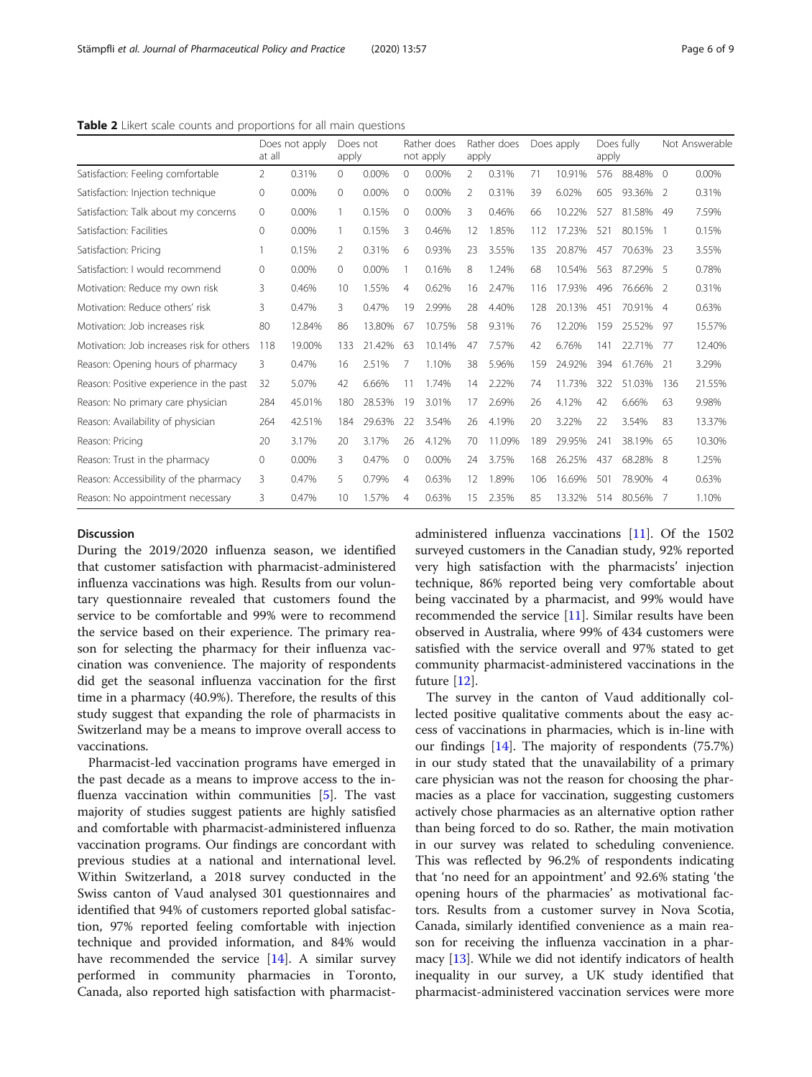<span id="page-5-0"></span>Table 2 Likert scale counts and proportions for all main questions

|                                           | Does not apply<br>at all |        |     | Does not<br>apply |          | Rather does<br>not apply |               | Rather does<br>apply |     | Does apply |     | Does fully<br>apply |                | Not Answerable |  |
|-------------------------------------------|--------------------------|--------|-----|-------------------|----------|--------------------------|---------------|----------------------|-----|------------|-----|---------------------|----------------|----------------|--|
| Satisfaction: Feeling comfortable         | 2                        | 0.31%  | 0   | 0.00%             | $\Omega$ | 0.00%                    | 2             | 0.31%                | 71  | 10.91%     | 576 | 88.48%              | $\Omega$       | 0.00%          |  |
| Satisfaction: Injection technique         | $\mathbf{0}$             | 0.00%  | 0   | 0.00%             | $\Omega$ | 0.00%                    | $\mathcal{P}$ | 0.31%                | 39  | 6.02%      | 605 | 93.36%              | $\overline{2}$ | 0.31%          |  |
| Satisfaction: Talk about my concerns      | $\Omega$                 | 0.00%  | 1.  | 0.15%             | $\Omega$ | 0.00%                    | 3             | 0.46%                | 66  | 10.22%     | 527 | 81.58%              | -49            | 7.59%          |  |
| Satisfaction: Facilities                  | $\Omega$                 | 0.00%  | 1   | 0.15%             | ζ        | 0.46%                    | 12            | 1.85%                | 112 | 17.23%     | 521 | 80.15%              |                | 0.15%          |  |
| Satisfaction: Pricing                     |                          | 0.15%  | 2   | 0.31%             | 6        | 0.93%                    | 23            | 3.55%                | 135 | 20.87%     | 457 | 70.63%              | 23             | 3.55%          |  |
| Satisfaction: I would recommend           | $\Omega$                 | 0.00%  | 0   | 0.00%             |          | 0.16%                    | 8             | 1.24%                | 68  | 10.54%     | 563 | 87.29%              | -5             | 0.78%          |  |
| Motivation: Reduce my own risk            | 3                        | 0.46%  | 10  | 1.55%             | 4        | 0.62%                    | 16            | 2.47%                | 116 | 17.93%     | 496 | 76.66%              | -2             | 0.31%          |  |
| Motivation: Reduce others' risk           | 3                        | 0.47%  | 3   | 0.47%             | 19       | 2.99%                    | 28            | 4.40%                | 128 | 20.13%     | 451 | 70.91%              | $\overline{4}$ | 0.63%          |  |
| Motivation: Job increases risk            | 80                       | 12.84% | 86  | 13.80%            | 67       | 10.75%                   | 58            | 9.31%                | 76  | 12.20%     | 159 | 25.52%              | 97             | 15.57%         |  |
| Motivation: Job increases risk for others | 118                      | 19.00% | 133 | 21.42%            | 63       | 10.14%                   | 47            | 7.57%                | 42  | 6.76%      | 141 | 22.71%              | 77             | 12.40%         |  |
| Reason: Opening hours of pharmacy         | 3                        | 0.47%  | 16  | 2.51%             |          | 1.10%                    | 38            | 5.96%                | 159 | 24.92%     | 394 | 61.76%              | 21             | 3.29%          |  |
| Reason: Positive experience in the past   | 32                       | 5.07%  | 42  | 6.66%             | 11       | 1.74%                    | 14            | 2.22%                | 74  | 11.73%     | 322 | 51.03%              | 136            | 21.55%         |  |
| Reason: No primary care physician         | 284                      | 45.01% | 180 | 28.53%            | 19       | 3.01%                    | 17            | 2.69%                | 26  | 4.12%      | 42  | 6.66%               | 63             | 9.98%          |  |
| Reason: Availability of physician         | 264                      | 42.51% | 184 | 29.63%            | 22       | 3.54%                    | 26            | 4.19%                | 20  | 3.22%      | 22  | 3.54%               | 83             | 13.37%         |  |
| Reason: Pricing                           | 20                       | 3.17%  | 20  | 3.17%             | 26       | 4.12%                    | 70            | 11.09%               | 189 | 29.95%     | 241 | 38.19%              | 65             | 10.30%         |  |
| Reason: Trust in the pharmacy             | 0                        | 0.00%  | 3   | 0.47%             | $\Omega$ | 0.00%                    | 24            | 3.75%                | 168 | 26.25%     | 437 | 68.28%              | 8              | 1.25%          |  |
| Reason: Accessibility of the pharmacy     | 3                        | 0.47%  | 5   | 0.79%             | 4        | 0.63%                    | 12            | 1.89%                | 106 | 16.69%     | 501 | 78.90%              | $\overline{4}$ | 0.63%          |  |
| Reason: No appointment necessary          | 3                        | 0.47%  | 10  | 1.57%             | 4        | 0.63%                    | 15            | 2.35%                | 85  | 13.32%     | 514 | 80.56%              | 7              | 1.10%          |  |

#### Discussion

During the 2019/2020 influenza season, we identified that customer satisfaction with pharmacist-administered influenza vaccinations was high. Results from our voluntary questionnaire revealed that customers found the service to be comfortable and 99% were to recommend the service based on their experience. The primary reason for selecting the pharmacy for their influenza vaccination was convenience. The majority of respondents did get the seasonal influenza vaccination for the first time in a pharmacy (40.9%). Therefore, the results of this study suggest that expanding the role of pharmacists in Switzerland may be a means to improve overall access to vaccinations.

Pharmacist-led vaccination programs have emerged in the past decade as a means to improve access to the influenza vaccination within communities [[5\]](#page-7-0). The vast majority of studies suggest patients are highly satisfied and comfortable with pharmacist-administered influenza vaccination programs. Our findings are concordant with previous studies at a national and international level. Within Switzerland, a 2018 survey conducted in the Swiss canton of Vaud analysed 301 questionnaires and identified that 94% of customers reported global satisfaction, 97% reported feeling comfortable with injection technique and provided information, and 84% would have recommended the service [[14\]](#page-7-0). A similar survey performed in community pharmacies in Toronto, Canada, also reported high satisfaction with pharmacist-

administered influenza vaccinations [\[11](#page-7-0)]. Of the 1502 surveyed customers in the Canadian study, 92% reported very high satisfaction with the pharmacists' injection technique, 86% reported being very comfortable about being vaccinated by a pharmacist, and 99% would have recommended the service [[11\]](#page-7-0). Similar results have been observed in Australia, where 99% of 434 customers were satisfied with the service overall and 97% stated to get community pharmacist-administered vaccinations in the future [[12](#page-7-0)].

The survey in the canton of Vaud additionally collected positive qualitative comments about the easy access of vaccinations in pharmacies, which is in-line with our findings [\[14](#page-7-0)]. The majority of respondents (75.7%) in our study stated that the unavailability of a primary care physician was not the reason for choosing the pharmacies as a place for vaccination, suggesting customers actively chose pharmacies as an alternative option rather than being forced to do so. Rather, the main motivation in our survey was related to scheduling convenience. This was reflected by 96.2% of respondents indicating that 'no need for an appointment' and 92.6% stating 'the opening hours of the pharmacies' as motivational factors. Results from a customer survey in Nova Scotia, Canada, similarly identified convenience as a main reason for receiving the influenza vaccination in a pharmacy [\[13](#page-7-0)]. While we did not identify indicators of health inequality in our survey, a UK study identified that pharmacist-administered vaccination services were more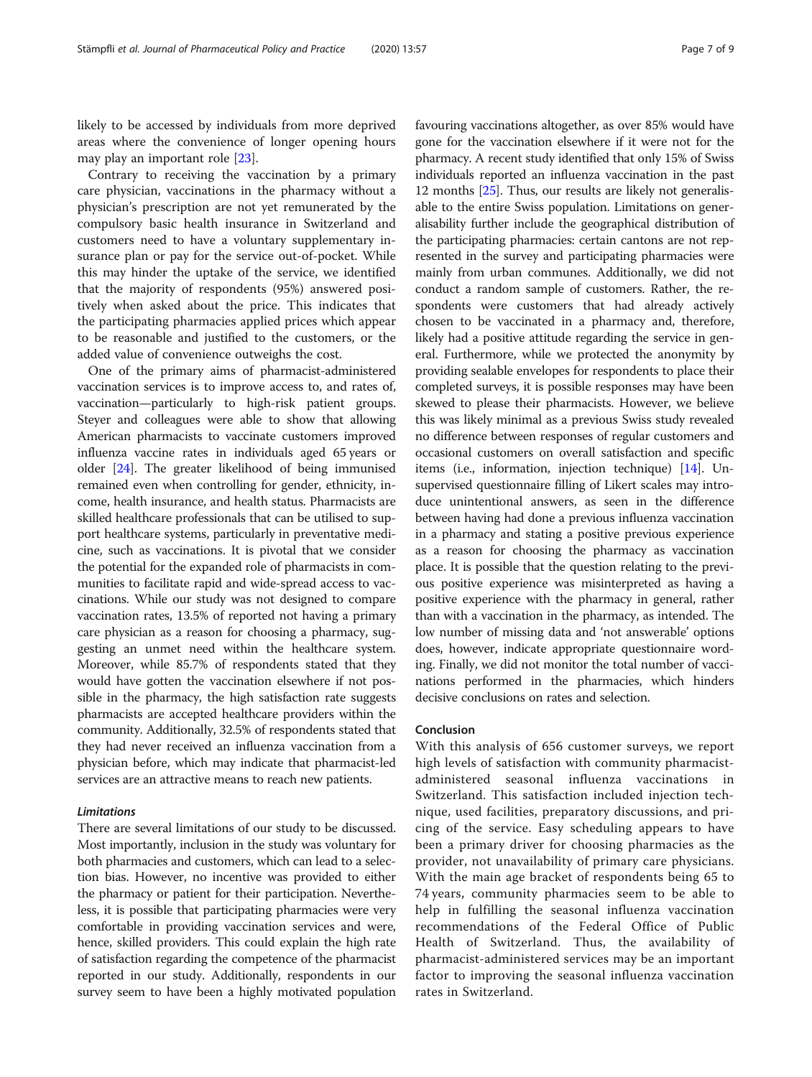likely to be accessed by individuals from more deprived areas where the convenience of longer opening hours may play an important role [[23](#page-8-0)].

Contrary to receiving the vaccination by a primary care physician, vaccinations in the pharmacy without a physician's prescription are not yet remunerated by the compulsory basic health insurance in Switzerland and customers need to have a voluntary supplementary insurance plan or pay for the service out-of-pocket. While this may hinder the uptake of the service, we identified that the majority of respondents (95%) answered positively when asked about the price. This indicates that the participating pharmacies applied prices which appear to be reasonable and justified to the customers, or the added value of convenience outweighs the cost.

One of the primary aims of pharmacist-administered vaccination services is to improve access to, and rates of, vaccination—particularly to high-risk patient groups. Steyer and colleagues were able to show that allowing American pharmacists to vaccinate customers improved influenza vaccine rates in individuals aged 65 years or older [[24](#page-8-0)]. The greater likelihood of being immunised remained even when controlling for gender, ethnicity, income, health insurance, and health status. Pharmacists are skilled healthcare professionals that can be utilised to support healthcare systems, particularly in preventative medicine, such as vaccinations. It is pivotal that we consider the potential for the expanded role of pharmacists in communities to facilitate rapid and wide-spread access to vaccinations. While our study was not designed to compare vaccination rates, 13.5% of reported not having a primary care physician as a reason for choosing a pharmacy, suggesting an unmet need within the healthcare system. Moreover, while 85.7% of respondents stated that they would have gotten the vaccination elsewhere if not possible in the pharmacy, the high satisfaction rate suggests pharmacists are accepted healthcare providers within the community. Additionally, 32.5% of respondents stated that they had never received an influenza vaccination from a physician before, which may indicate that pharmacist-led services are an attractive means to reach new patients.

#### Limitations

There are several limitations of our study to be discussed. Most importantly, inclusion in the study was voluntary for both pharmacies and customers, which can lead to a selection bias. However, no incentive was provided to either the pharmacy or patient for their participation. Nevertheless, it is possible that participating pharmacies were very comfortable in providing vaccination services and were, hence, skilled providers. This could explain the high rate of satisfaction regarding the competence of the pharmacist reported in our study. Additionally, respondents in our survey seem to have been a highly motivated population favouring vaccinations altogether, as over 85% would have gone for the vaccination elsewhere if it were not for the pharmacy. A recent study identified that only 15% of Swiss individuals reported an influenza vaccination in the past 12 months [\[25\]](#page-8-0). Thus, our results are likely not generalisable to the entire Swiss population. Limitations on generalisability further include the geographical distribution of the participating pharmacies: certain cantons are not represented in the survey and participating pharmacies were mainly from urban communes. Additionally, we did not conduct a random sample of customers. Rather, the respondents were customers that had already actively chosen to be vaccinated in a pharmacy and, therefore, likely had a positive attitude regarding the service in general. Furthermore, while we protected the anonymity by providing sealable envelopes for respondents to place their completed surveys, it is possible responses may have been skewed to please their pharmacists. However, we believe this was likely minimal as a previous Swiss study revealed no difference between responses of regular customers and occasional customers on overall satisfaction and specific items (i.e., information, injection technique) [[14\]](#page-7-0). Unsupervised questionnaire filling of Likert scales may introduce unintentional answers, as seen in the difference between having had done a previous influenza vaccination in a pharmacy and stating a positive previous experience as a reason for choosing the pharmacy as vaccination place. It is possible that the question relating to the previous positive experience was misinterpreted as having a positive experience with the pharmacy in general, rather than with a vaccination in the pharmacy, as intended. The low number of missing data and 'not answerable' options does, however, indicate appropriate questionnaire wording. Finally, we did not monitor the total number of vaccinations performed in the pharmacies, which hinders decisive conclusions on rates and selection.

### Conclusion

With this analysis of 656 customer surveys, we report high levels of satisfaction with community pharmacistadministered seasonal influenza vaccinations in Switzerland. This satisfaction included injection technique, used facilities, preparatory discussions, and pricing of the service. Easy scheduling appears to have been a primary driver for choosing pharmacies as the provider, not unavailability of primary care physicians. With the main age bracket of respondents being 65 to 74 years, community pharmacies seem to be able to help in fulfilling the seasonal influenza vaccination recommendations of the Federal Office of Public Health of Switzerland. Thus, the availability of pharmacist-administered services may be an important factor to improving the seasonal influenza vaccination rates in Switzerland.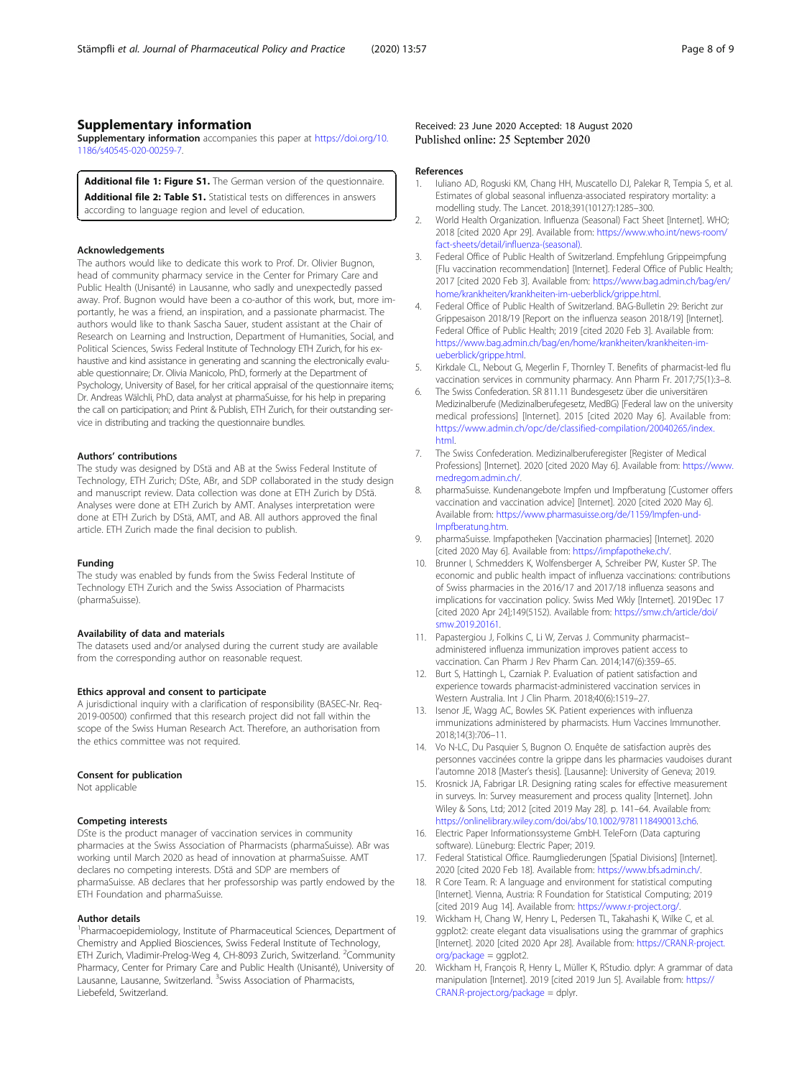## <span id="page-7-0"></span>Supplementary information

Supplementary information accompanies this paper at [https://doi.org/10.](https://doi.org/10.1186/s40545-020-00259-7) [1186/s40545-020-00259-7](https://doi.org/10.1186/s40545-020-00259-7).

Additional file 1: Figure S1. The German version of the questionnaire. Additional file 2: Table S1. Statistical tests on differences in answers according to language region and level of education.

#### Acknowledgements

The authors would like to dedicate this work to Prof. Dr. Olivier Bugnon, head of community pharmacy service in the Center for Primary Care and Public Health (Unisanté) in Lausanne, who sadly and unexpectedly passed away. Prof. Bugnon would have been a co-author of this work, but, more importantly, he was a friend, an inspiration, and a passionate pharmacist. The authors would like to thank Sascha Sauer, student assistant at the Chair of Research on Learning and Instruction, Department of Humanities, Social, and Political Sciences, Swiss Federal Institute of Technology ETH Zurich, for his exhaustive and kind assistance in generating and scanning the electronically evaluable questionnaire; Dr. Olivia Manicolo, PhD, formerly at the Department of Psychology, University of Basel, for her critical appraisal of the questionnaire items; Dr. Andreas Wälchli, PhD, data analyst at pharmaSuisse, for his help in preparing the call on participation; and Print & Publish, ETH Zurich, for their outstanding service in distributing and tracking the questionnaire bundles.

#### Authors' contributions

The study was designed by DStä and AB at the Swiss Federal Institute of Technology, ETH Zurich; DSte, ABr, and SDP collaborated in the study design and manuscript review. Data collection was done at ETH Zurich by DStä. Analyses were done at ETH Zurich by AMT. Analyses interpretation were done at ETH Zurich by DStä, AMT, and AB. All authors approved the final article. ETH Zurich made the final decision to publish.

#### Funding

The study was enabled by funds from the Swiss Federal Institute of Technology ETH Zurich and the Swiss Association of Pharmacists (pharmaSuisse).

#### Availability of data and materials

The datasets used and/or analysed during the current study are available from the corresponding author on reasonable request.

#### Ethics approval and consent to participate

A jurisdictional inquiry with a clarification of responsibility (BASEC-Nr. Req-2019-00500) confirmed that this research project did not fall within the scope of the Swiss Human Research Act. Therefore, an authorisation from the ethics committee was not required.

#### Consent for publication

Not applicable

#### Competing interests

DSte is the product manager of vaccination services in community pharmacies at the Swiss Association of Pharmacists (pharmaSuisse). ABr was working until March 2020 as head of innovation at pharmaSuisse. AMT declares no competing interests. DStä and SDP are members of pharmaSuisse. AB declares that her professorship was partly endowed by the ETH Foundation and pharmaSuisse.

#### Author details

<sup>1</sup>Pharmacoepidemiology, Institute of Pharmaceutical Sciences, Department of Chemistry and Applied Biosciences, Swiss Federal Institute of Technology, ETH Zurich, Vladimir-Prelog-Weg 4, CH-8093 Zurich, Switzerland. <sup>2</sup>Community Pharmacy, Center for Primary Care and Public Health (Unisanté), University of Lausanne, Lausanne, Switzerland. <sup>3</sup>Swiss Association of Pharmacists, Liebefeld, Switzerland.

#### Received: 23 June 2020 Accepted: 18 August 2020 Published online: 25 September 2020

#### References

- 1. Iuliano AD, Roguski KM, Chang HH, Muscatello DJ, Palekar R, Tempia S, et al. Estimates of global seasonal influenza-associated respiratory mortality: a modelling study. The Lancet. 2018;391(10127):1285–300.
- 2. World Health Organization. Influenza (Seasonal) Fact Sheet [Internet]. WHO; 2018 [cited 2020 Apr 29]. Available from: [https://www.who.int/news-room/](https://www.who.int/news-room/fact-sheets/detail/influenza-(seasonal)) [fact-sheets/detail/influenza-\(seasonal\).](https://www.who.int/news-room/fact-sheets/detail/influenza-(seasonal))
- 3. Federal Office of Public Health of Switzerland. Empfehlung Grippeimpfung [Flu vaccination recommendation] [Internet]. Federal Office of Public Health; 2017 [cited 2020 Feb 3]. Available from: [https://www.bag.admin.ch/bag/en/](https://www.bag.admin.ch/bag/en/home/krankheiten/krankheiten-im-ueberblick/grippe.html) [home/krankheiten/krankheiten-im-ueberblick/grippe.html.](https://www.bag.admin.ch/bag/en/home/krankheiten/krankheiten-im-ueberblick/grippe.html)
- 4. Federal Office of Public Health of Switzerland. BAG-Bulletin 29: Bericht zur Grippesaison 2018/19 [Report on the influenza season 2018/19] [Internet]. Federal Office of Public Health; 2019 [cited 2020 Feb 3]. Available from: [https://www.bag.admin.ch/bag/en/home/krankheiten/krankheiten-im](https://www.bag.admin.ch/bag/en/home/krankheiten/krankheiten-im-ueberblick/grippe.html)[ueberblick/grippe.html](https://www.bag.admin.ch/bag/en/home/krankheiten/krankheiten-im-ueberblick/grippe.html).
- 5. Kirkdale CL, Nebout G, Megerlin F, Thornley T. Benefits of pharmacist-led flu vaccination services in community pharmacy. Ann Pharm Fr. 2017;75(1):3–8.
- 6. The Swiss Confederation. SR 811.11 Bundesgesetz über die universitären Medizinalberufe (Medizinalberufegesetz, MedBG) [Federal law on the university medical professions] [Internet]. 2015 [cited 2020 May 6]. Available from: [https://www.admin.ch/opc/de/classified-compilation/20040265/index.](https://www.admin.ch/opc/de/classified-compilation/20040265/index.html) [html](https://www.admin.ch/opc/de/classified-compilation/20040265/index.html).
- 7. The Swiss Confederation. Medizinalberuferegister [Register of Medical Professions] [Internet]. 2020 [cited 2020 May 6]. Available from: [https://www.](https://www.medregom.admin.ch/) [medregom.admin.ch/.](https://www.medregom.admin.ch/)
- 8. pharmaSuisse. Kundenangebote Impfen und Impfberatung [Customer offers vaccination and vaccination advice] [Internet]. 2020 [cited 2020 May 6]. Available from: [https://www.pharmasuisse.org/de/1159/Impfen-und-](https://www.pharmasuisse.org/de/1159/Impfen-und-Impfberatung.htm)[Impfberatung.htm.](https://www.pharmasuisse.org/de/1159/Impfen-und-Impfberatung.htm)
- 9. pharmaSuisse. Impfapotheken [Vaccination pharmacies] [Internet]. 2020 [cited 2020 May 6]. Available from: <https://impfapotheke.ch/>.
- 10. Brunner I, Schmedders K, Wolfensberger A, Schreiber PW, Kuster SP. The economic and public health impact of influenza vaccinations: contributions of Swiss pharmacies in the 2016/17 and 2017/18 influenza seasons and implications for vaccination policy. Swiss Med Wkly [Internet]. 2019Dec 17 [cited 2020 Apr 24];149(5152). Available from: [https://smw.ch/article/doi/](https://smw.ch/article/doi/smw.2019.20161) [smw.2019.20161](https://smw.ch/article/doi/smw.2019.20161).
- 11. Papastergiou J, Folkins C, Li W, Zervas J. Community pharmacist– administered influenza immunization improves patient access to vaccination. Can Pharm J Rev Pharm Can. 2014;147(6):359–65.
- 12. Burt S, Hattingh L, Czarniak P. Evaluation of patient satisfaction and experience towards pharmacist-administered vaccination services in Western Australia. Int J Clin Pharm. 2018;40(6):1519–27.
- 13. Isenor JE, Wagg AC, Bowles SK. Patient experiences with influenza immunizations administered by pharmacists. Hum Vaccines Immunother. 2018;14(3):706–11.
- 14. Vo N-LC, Du Pasquier S, Bugnon O. Enquête de satisfaction auprès des personnes vaccinées contre la grippe dans les pharmacies vaudoises durant l'automne 2018 [Master's thesis]. [Lausanne]: University of Geneva; 2019.
- 15. Krosnick JA, Fabrigar LR. Designing rating scales for effective measurement in surveys. In: Survey measurement and process quality [Internet]. John Wiley & Sons, Ltd; 2012 [cited 2019 May 28]. p. 141–64. Available from: <https://onlinelibrary.wiley.com/doi/abs/10.1002/9781118490013.ch6>.
- 16. Electric Paper Informationssysteme GmbH. TeleForn (Data capturing software). Lüneburg: Electric Paper; 2019.
- 17. Federal Statistical Office. Raumgliederungen [Spatial Divisions] [Internet]. 2020 [cited 2020 Feb 18]. Available from: [https://www.bfs.admin.ch/.](https://www.bfs.admin.ch/)
- 18. R Core Team. R: A language and environment for statistical computing [Internet]. Vienna, Austria: R Foundation for Statistical Computing; 2019 [cited 2019 Aug 14]. Available from: <https://www.r-project.org/>.
- 19. Wickham H, Chang W, Henry L, Pedersen TL, Takahashi K, Wilke C, et al. ggplot2: create elegant data visualisations using the grammar of graphics [Internet]. 2020 [cited 2020 Apr 28]. Available from: [https://CRAN.R-project.](https://cran.r-project.org/package) [org/package](https://cran.r-project.org/package) = ggplot2.
- 20. Wickham H, François R, Henry L, Müller K, RStudio. dplyr: A grammar of data manipulation [Internet]. 2019 [cited 2019 Jun 5]. Available from: [https://](https://cran.r-project.org/package) [CRAN.R-project.org/package](https://cran.r-project.org/package) = dplyr.